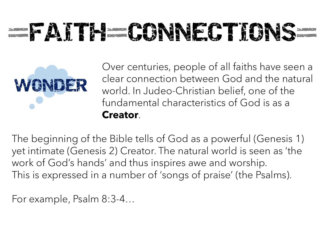## **EXITLE CONNECTIONS**



Over centuries, people of all faiths have seen a clear connection between God and the natural world. In Judeo-Christian belief, one of the fundamental characteristics of God is as a Creator.

The beginning of the Bible tells of God as a powerful (Genesis 1) yet intimate (Genesis 2) Creator. The natural world is seen as 'the work of God's hands' and thus inspires awe and worship. This is expressed in a number of 'songs of praise' (the Psalms).

For example, Psalm 8:3-4…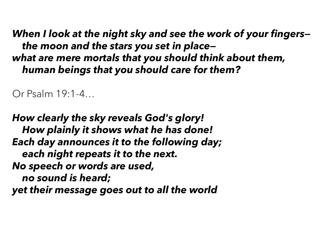When I look at the night sky and see the work of your fingers the moon and the stars you set in place what are mere mortals that you should think about them, human beings that you should care for them?

Or Psalm 19:1-4…

How clearly the sky reveals God's glory! How plainly it shows what he has done! Each day announces it to the following day; each night repeats it to the next. No speech or words are used, no sound is heard; Or Fsalm 19:1-4...<br>How clearly the sky reveals God's glory!<br>How plainly it shows what he has done!<br>Each day announces it to the following day;<br>each night repeats it to the next.<br>No speech or words are used,<br>no sound is hea